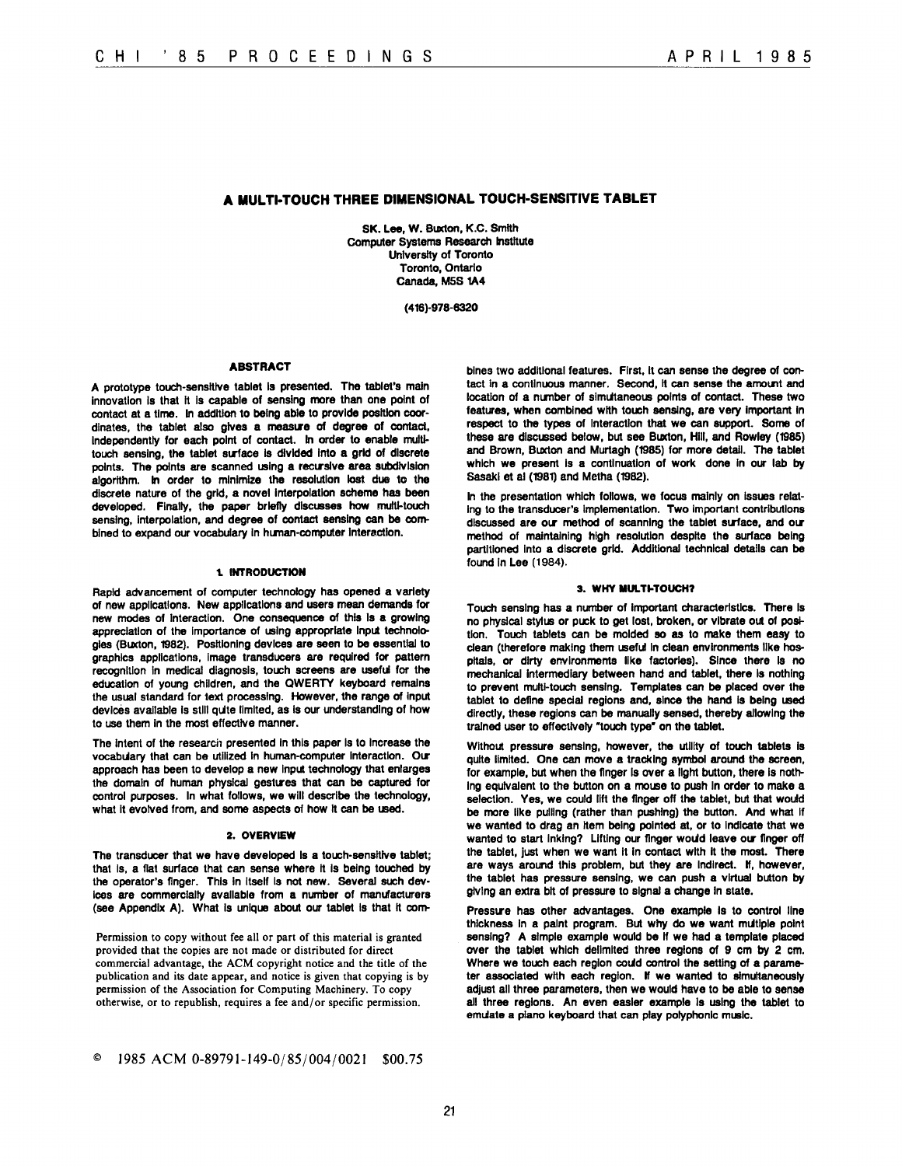# **A MULTI-TOUCH THREE DIMENSIONAL TOUCH-SENSITIVE TABLET**

SK. Lee, W. Buxton, K.C. Smith Computer Systems Research Institute Unlversity of Toronto Toronto, Ontario Canada, M5S 1A4

**(416)-978-6320** 

# **ABSTRACT**

A prototype touch-sensitive tablet Is presented. The tablet's main innovation is that It Is capable of sensing mare than one point of contact at a time. In addition to being able to provide position coordinates, the tablet also gives a measure of degree of contact, independently for each point of contact. In order to enable multitouch sensing, the tablet surface is divided into a grid of discrete points. The points are scanned using a recursive area subdivision algorithm. In order to minimize the resolution lost due to the discrete nature of the grid, a novel interpolation scheme has been developed. Finally, the paper briefly discusses how multi-touch sensing, interpolation, and degree of contact sensing can be combined to expand our vocabulary In human-computer Interaction.

#### **1. INTRODUCTION**

Rapid advancement of computer technology has opened a variety of new applications. New applications and users mean demands for new modes of Interaction. One consequence of thls Is a growing appreciation of the importance of using appropriate Input technologies (Buxton, 1982). Positioning devices are seen to be essential to graphics applications, Image transducers are required for pattern recognition In medical diagnosis, touch screens are useful for the educatlon of young children, and the QWERTY keyboard remains the usual standard for text processing. However, the range of input devices available Is still quite limited, as is our understanding of how to use them In the most effective manner.

The intent of the research presented in this paper is to increase the vocabulary that can be utilized In human-computer Interaction. Our approach has been to develop a new Input technology that enlarges the domain of human physical gestures that can be captured for control purposes. In what follows, we will describe the technology, what it evolved from, and some aspects of how it can be used.

#### **2. OVERVIEW**

The transducer that we have developed is a touch-sensitive tablet; that Is, a flat surface that can sense where it Is being touched by the operator's finger. This in itself is not new. Several such devices are commercially available from a number of manufacturers (see Appendix A). What Is unique about our tablet Is that it **com-**

Permission to copy without fee all or part of this material is granted provided that the copies are not made or distributed for direct commercial advantage, the ACM copyright notice and the title of the publication and its date appear, and notice is given that copying is by permission of the Association for Computing Machinery. To copy otherwise, or to republish, requires a fee and/or specific permission.

bines two additional features. First, it can sense the degree of contact in a continuous manner. Second, it can sense the amount and location of a number of simultaneous points of contact. These two features, when combined with touch sensing, are very Important In respect to the types of Interaction that we can support. Soma of these are discussed below, but sea Buxton, Hill, and Rowley (1985) and Brown, Buxton and Murtagh (1985) for more dotall. The tablet which we present is a continuation of work done in our lab by Sasakl et al (1981) and Metha (1982).

In the presentation which follows, we focus mainly on issues relat-Ing to the transducsr's implementation. Two important contributions discussed are our method of scanning the tablet surface, and our method of maintaining high resolution despite the surface being partitioned Into a discrete grid. Additional technical details can be found in Lee (1984).

### **3. WHY MULTI-TOUCH?**

Touch sensing has a number of Important characteristics. There Is no physical stylus or puck to got lost, broken, or vibrate out of position. Touch tablets can be molded so as to make them easy to clean (therefore making them useful In clean environments like hospitals, or dirty environments like factories). Since there is no mechanical intermediary between hand and tablet, there is nothing to prevent multi-touch sensing. Templates can be placed over the tablet to define special regions and, since the hand is being used directly, these regions can be manually sensed, thereby allowing the trained user to effectively "touch type" on the tablet.

Without pressure sensing, however, the utility of touch tablets is quite limited. One can move a tracking symbol around the screen, for example, but when the finger Is over a light button, there is noth-Ing equivalent to the button on a mouse to push In order to make a selection. Yes, we could lift the finger off the tablet, but that would be more like pulling (rather than pushing) the button. And what If we wanted to drag an item being pointed at, or to Indicate that we wanted to start Inking? Lifting our finger would leave our finger off the tablet, just when we want it in contact with it the most. There are ways around this problem, but they are Indirect. If, however, the tablet has pressure sensing, we can push a virtual button by giving an extra bit of pressure to signal a change in state.

Pressure has other advantages. One example is to control line thickness In a paint program. BUt why do we want multiple point sensing? A simple example would be If we had a template placed over the tablet which delimited three regions of 9 cm by 2 cm. Where we touch each region could control the setting of a parameter associated with each region. If we wanted to simultaneously adjust all three parameters, then we would have to be able to sense all three regions. An even easier example is using the tablet to emulate a piano keyboard that can play polyphonic music.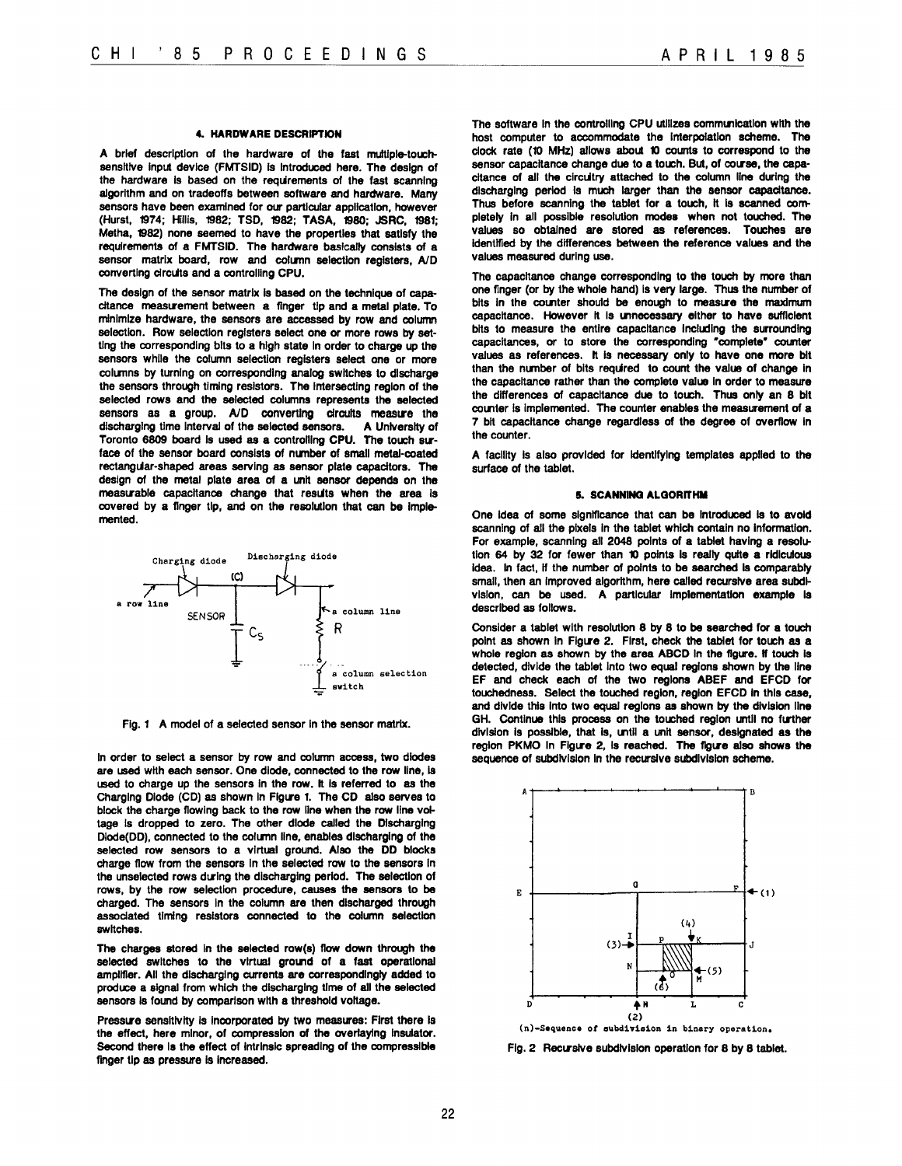# **4. HARDWARE DESCRIPTION**

A brief description of the hardware of the fast multiple-touchsensitive input device (FMTSID) is introduced here. The design of the hardware is based on the requirements of the fast scanning algorithm and on tradeoffs between software and hardware. Many sensors have been examined for our particular application, however (Hurst, 1974; Hillis, 1982; TSD, 1982; TASA, 1980; JSRC, 1981; Matha, 1982) none seemed to have the properties that satisfy the requirements of a FMTSID. The hardware basically consists of a sensor matrix board, row and column selection registers, A/D converting drcults and a controlling CPU.

The design of the sensor matrix is based on the technique of capacitance measurement between a finger tip and a metal plate. To minimize hardware, the sensors are accessed by row and column selection. Row selection registers select one or more rows by setting the corresponding bits to a high state in order to charge up the sensors while the column selection registers select one or more columns by turning on corresponding analog switches to discharge the sensors through timing resistors. The Intersecting region of the selected rows and the selected columns represents the selected sensors as a group. A/D converting circuits measure the discharging time Interval of the selected sensors. A University of Toronto 6809 board Is used as a controlling CPU. The touch surface of the sensor board consists of number of small metal-coated rectangular-shaped areas serving as sensor plate capadtors. The design of the metal plate area of a unit sensor depends on the measurable capacitance change that results when the area Is covered by a finger tip, and on the resolution that can be Implemented.



Fig. 1 A model of a selected sensor in the sensor matrix.

In order to select a sensor by row and column access, two diodes are used with each sensor. One diode, connected to the row line, Is used to charge up the sensors in the row. It Is referred to as the Charging Diode (CD) as shown in Figure 1. The CD also serves to block the charge flowing back to the row line when the row line voltago is dropped to zero. The other diode called the Discharging DIOde(DD), connected to the column line, enables discharging of the selected row sensors to a virtual ground. Also the DD blocks charge flow from the sensors In the selected row to the sensors In the unselected rows during the discharging period. The selection of rows, by the row selection procedure, causes the sensors to be charged. The sensors in the column are then discharged through essodated timing resistors connected to the column selection switches.

The charges stored in the selected row(s) flow down through the selected switches to the virtual ground of a fast operational amplifier. All the discharging currents are correspondlngly added to produce a signal from which the discharging tlme of all the selected sensors is found by comparison with a threshold voitage.

Pressure sensitivity is incorporated by two measures: First there is the effect, here minor, of compression of the overlaying insulator. Second there is the effect of intrinsic spreading of the compressible finger tip as pressure is increased.

The software in the controlling CPU utilizes communication with the host computer to accommodate the interpolation scheme. The dock rate (10 MHz) allows about 10 counts to correspond to the sensor capacitance change due to a touch. But, of course, the capacitance of all the circuitry attached to the column line during the discharging period is much larger than the sensor capacitance. Thus before scanning the tablet for a touch, it is scanned completely in all possible resolution modes when not touched. The values so obtained are stored as references. Touches are identified by the differences between the reference values and the values measured during use.

The capacitance change corresponding to the touch by more than one finger (or by the whole hand) is very large. Thus the number of bits in the counter should be enough to measure the maximum capacitance. However It Is unnecessary either to have sufficient bits to measure the entire capacitance Including the surrounding capacitances, or to store the corresponding "complete" counter values as references. It is necessary only to have one more bit than the number of bits required to count the value of change In the capacitance rather than the complete value In order to measure the differences of capacitance due to touch. Thus only an 8 bit counter is implemented. The counter enables the measurement of a 7 bit capacitance change regardless of the degree of overflow in the counter.

A facility is also provided for identifying templates applied to the surface of the tablet.

## **5. SCANNING ALGORITHM**

One idea of some significance that can be introduced is to avoid scanning of all the pixels in the tablet which contain no information. For example, scanning all 2048 points of a tablet having a resolution 64 by 32 for fewer than 10 points is really quite a ridiculous idea. In fact, If the number of points to be searched Is comparably small, then an improved algorithm, here called recursive area subdivision, can be used. A particular Implementation example Is described as follows.

Consider a tablet with resolution 8 by 8 to be searched for a touch point as shown in Figure 2. First, check the tablet for touch as a whole region as shown by the area ABCD in the figure. If touch is detected, divide the tablet Into two equal regions shown by the line EF and check each of the two regions ABEF and EFCD for touchedness. Select the touched region, region EFCD In this case, and divide this Into two equal regions as shown by the division line GH. Continue this process on the touched reglon until no further division is possible, that is, until a unit sensor, designated as the region PKMO In Figure 2, Is reached. The figure also shows the sequence of subdivision In the recursive subdivision scheme.



(n)-Sequence of subdivision in binary operation.

Fig. 2 Racursive subdivision operation for 8 by 8 tablet.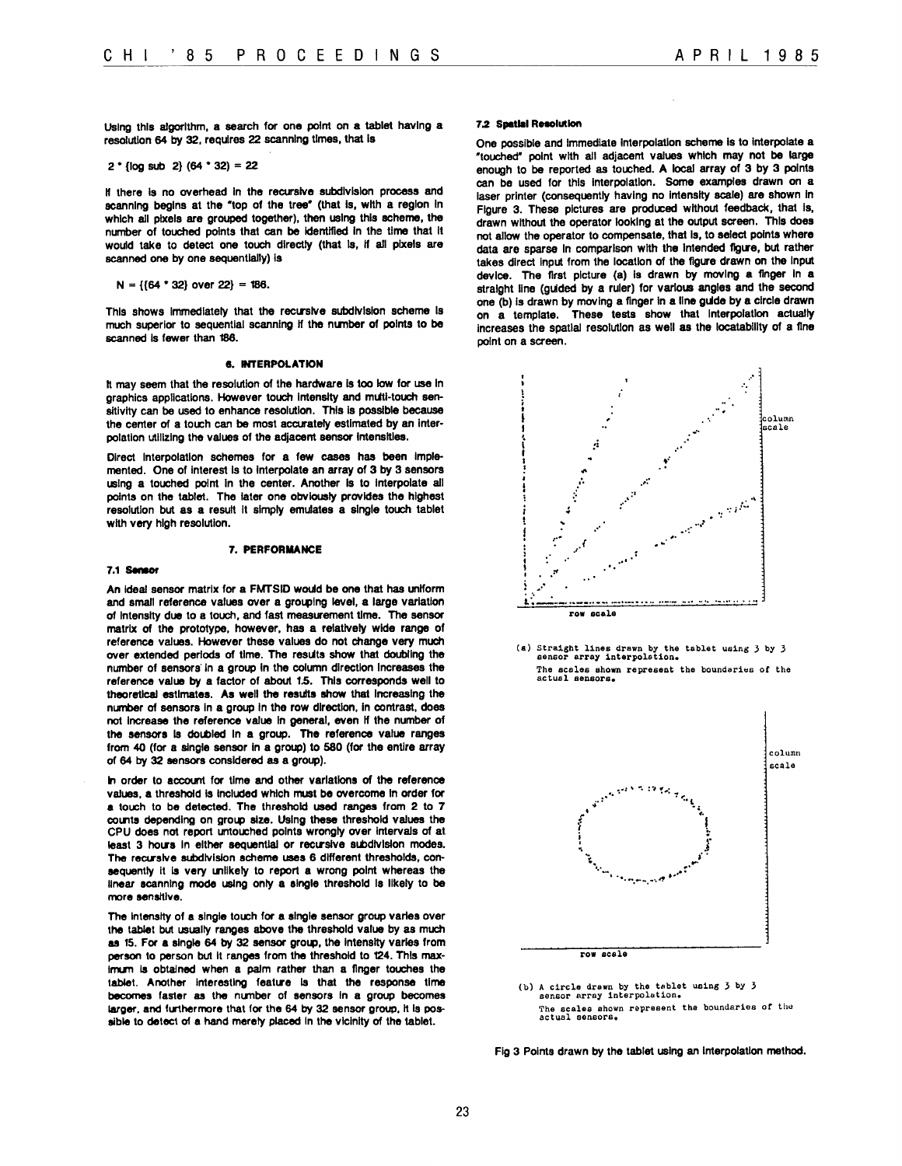Using this algorithm, a search for one point on a tablet having a resolution 64 by 32, requires 22 scanning times, that is

$$
2 \cdot \{ \log \text{sub} \ \ 2 \} \ (64 \cdot 32) = 22
$$

If there is no overhead In the recursive subdivision process and scanning begins at the "top of the tree" (that Is, with a region in which all pixels are grouped together), then using this scheme, the number of touched points that can be identified in the time that It would take to detect one touch directly (that is, if all pixels are scanned one by one sequentially) is

 $N = \{(64 * 32)$  over 22} = 186.

This shows immediately that the recursive subdivision scheme is much superior to sequential scanning if the number of points to be scanned is fewer than 186.

## **6. INTERPOLATION**

It may seem that the resolution of the hardware Is too low for use In graphics applications. However touch Intensity and multi-touch sensitivity can be used to enhance resolution. This is possible because the center of a touch can be most accurately estimated by an interpolation utilizing the values of the adjacent sensor intensities.

Direct Interpolation schemes for a few cases has been Implemented. One of interest is to interpolate an array of 3 by 3 sensors using a touched point in the center. Another is to interpolate all points on the tablet. The later one obviously provides the highest resolution but as a result It simply emulates a single touch tablet with very high resolution.

# **7. PERFORMANCE**

### 7.1 Sensor

An ideal sensor matrix for a FMTSID would be one that has uniform and small reference values over a grouping level, a large variation of Intensity due to a touch, and fast measurement time. The sensor matrix of the prototype, however, has a relatively wide range of reference values. However these values do not change very much over extended periods of time. The results show that doubling the number of sensors In a group in the column direction Increases the reference value by a factor of about 1.5. This corresponds well to theoretical estimates. As well the results show that Increasing the number of sensors in a group in the row direction, in contrast, does not Increase the reference value In general, even ff the number of the sensors Is doubled In a group. The reference value ranges from 40 (for a single sensor in a group) to 580 (for the entire array of 64 by 32 sensors considered as a group).

In order to account for time and other variations of the reference values, a threshold is included which must be overcome In order for a touch to be detected. The threshold used ranges from 2 to 7 counts depending on group size. Using these threshold values the CPU does not report untouched points wrongly over intervals of at least 3 hours In either sequential or recursive subdivision modes. The recursive subdivision scheme uses 6 different thresholds, consequently it is very unlikely to report a wrong point whereas the linear scanning mode using only a single threshold Is likely to be mere sensitive.

The intensity of a single touch for a single sensor group varies over the tablet but usually ranges above the threshold value by as much as 15. For a single 64 by 32 sensor group, the intensity varies from person to person but it ranges from the threshold to 124. This maximum is obtained when a palm rather than a finger touches the tablet. Another interesting feature Is that the response time becomes faster as the number of sensors in a group becomes larger, and furthermore that for the 64 by 32 sensor group, it is possible to detect of a hand merely placed in the vicinity of the tablet.

#### 7.2 Spatial Resolution

One possible and immediate interpolation scheme is to interpolate a "touched" point with all adjacent values which may not be large enough to be reported as touched. A local array of 3 by 3 points can be used for this Interpolation. Some examples drawn on a laser printer (consequently having no intensity scale) are shown in Figure 3. These pictures are produced without feedback, that is, drawn without the operator looking at the output screen. This does not allow the operator to compensate, that Is, to select points where data are sparse In comparison with the Intended figure, but rather takes direct input from the location of the figure drawn on the Input device. The first picture (a) is drawn by moving a finger in a straight line (guided by a ruler) for various angles and the second one (b) is drawn by moving a finger in a line guide by a circle drawn on a template. These tests show that Interpolation actually increases the spatial resolution as well as the Iocatablllty of a fine point on a screen.



(a) Straight lines drawn by the tablet using 3 by 3 aenaor array interpolation. The scales shown represent the boundaries of the actual sensors.



(b) A circle drawn by the tablet using 3 by 3 sensor array interpolation. The scales shown represent the boundaries of the actual sensors.

Fig 3 Points drawn by the tablet using an interpolation method.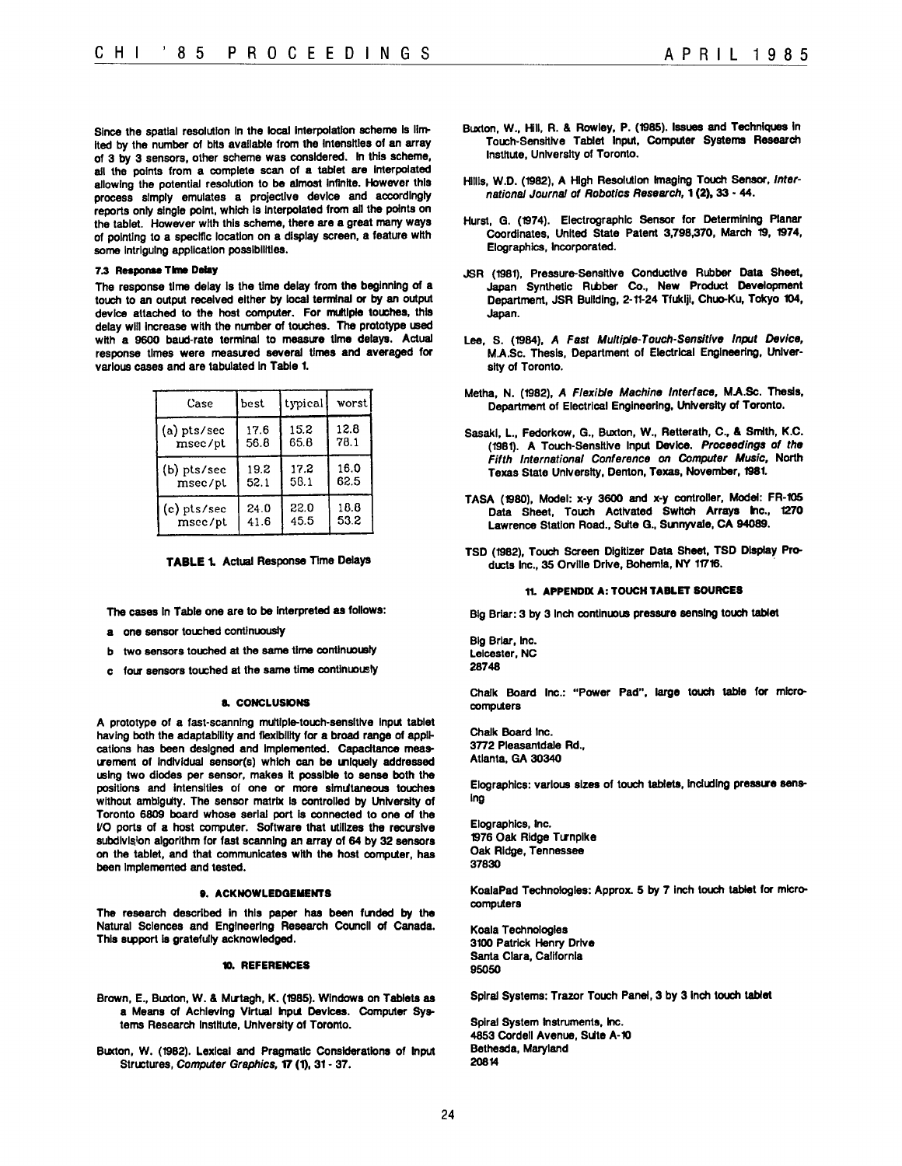Since the spatial resolution in the local interpolation scheme is limited by the number of bits available from the intensities of an array of 3 by 3 sensors, other scheme was considered. In this scheme, all the points from a complete scan of a tablet are interpolated allowing the potential resolution to be almost infinite. However this process simply emulates a projective device and accordingly reports only single point, which is Interpolated from all the points on the tablet. However with this scheme, there are a great many ways of pointing to a specific location on a display screen, a feature wIth some Intriguing application possibilities.

### 7.3 Response Time Delay

The response time delay is the time delay from the beginning of a touch to an output received either by local terminal or by an output device attached to the host computer. For multiple touches, this delay will increase with the number of touches. The prototype used with a 9600 baud-rate terminal to measure time delays. Actual response times were measured several times and averaged for various cases and are tabulated In Table 1.

| Case        | best | typical | worst |
|-------------|------|---------|-------|
| (a) pts/sec | 17.6 | 15.2    | 12.8  |
| msec/pt     | 56.8 | 65.6    | 78.1  |
| (b) pts/sec | 19.2 | 17.2    | 16.0  |
| msec/pt     | 52.1 | 58.1    | 62.5  |
| (c) pts/sec | 24.0 | 22.0    | 18.8  |
| msec/pt     | 41.6 | 45.5    | 53.2  |

**TABLE** 1. Actual Response Time Delays

The cases In Table one are to be Interpreted as follows:

- a one sensor touched continuously
- b two sensors touched at the same time continuously
- c four sensors touched at the same time continuously

#### **8. CONCLUSIONS**

A prototype of a fast-scannlng multiple-touch-sensitive Input tablet having both the adaptability and flexibility for a broad range of applications has been designed and implemented. Capacitance measurernent of Individual eensor(s) which can be uniquely addressed using two diodes per sensor, makes It possible to sense both the positions and Intensities of one or more simultaneous touches without ambiguity. The sensor matrix Is controlled by University of Toronto 6809 board whose serial port is connected to one of the I/O ports of a host computer. Software that utilizes the recursive subdivision algorithm for fast scanning an array of 64 by 32 sensors on the tablet, and that communlcatee wIth the host computer, has been Implemented and tested.

#### **9. ACKNOWLEDGEMENTS**

The research described in this paper has been funded by the Natural Sciences and Engineering Research Council of Canada. This support is gratefully acknowledged.

# **10. REFERENCES**

- Brown, E., Buxton, W. & Murtagh, K. (1985). Windows on Tablets as a Means of Achieving Virtual Input Devices. Computer Systerns Research Institute, University of Toronto.
- Buxton, W. (1982). Lexical and Pragmatic Considerations of Input Structures, *Computer Graphics, 17 (1),* 31 - 37.
- Buxton, W., Hill, R. & Rowley, P. (1985). Issues and Techniques in Touch-Sensitive Tablet Input, Computer Systems Research Institute, University of Toronto.
- Hillis, W.D. (1982), A High Resolution Imaging Touch Sensor, International Journal of Robotics Research, 1 (2), 33 - 44.
- Hurst, G. (1974). Electrographic Sensor for Determining Planar Coordinates, United State Patent 3,798,370, March 19, 1974, Elographics, incorporated.
- JSR (1981), Pressure-Sensitive Conductive Rubber Data Sheet, Japan Synthetic Rubber Co., New Product Development Department, JSR Building, 2-11-24 Tfukljl, Chuo-Ku, Tokyo 104, Japan.
- Lee, S. *(1984), A Fast Multiple-Touch-Sensitive Input Device,*  M.A.Sc. Thesis, Department of Electrical Engineering, University of Toronto.
- Metha, N. (1982), *A Flexible Machine Interface*, M.A.Sc. Thesis, Department of Electrical Engineering, University of Toronto.
- Sasaki, L., Fedorkow, G., Buxton, W., Retterath, C., & Smith, K.C. (1981). A Touch-Sensitive Input Device. *Proceedings of the Fifth International Conference on Computer Music, North*  Texas State University, Denton, Texas, November, 1981.
- TASA (1980), Model: x-y 3600 and x-y controller, Modal: FR-105 Data Sheet, Touch Activated Switch Arrays Inc., 1270 Lawrence Station Road., Suite G., Sunnyvale, CA 94089.
- TSD (1982), Touch Screen Digitizer Data Sheet, TSD Display Products Inc., 35 Orville Drive, Bohemia, NY 11716.

### 11. **APPENDIX A: TOUCH TABLET SOURCE8**

Big Briar: 3 by 3 Inch continuous pressure sensing touch tablet

BIg Briar, Inc. Leicester, NC 28748

**Chalk Board Inc.: "Power Pad", large touch table for microcomputers** 

Chalk Board Inc. 3772 Pleasantdale Rd., Atlanta, GA 30340

Elographlcs: various sizes of touch tablets, Including pressure sene-Ing

Elographlcs, Inc. 1976 Oak Ridge Turnpike Oak Ridge, Tennessee 37830

**KoalaPad Technologies: Approx. 5 by 7 Inch touch tablet for microcomputers** 

Koala Technologies 3100 Patrick Henry Drive Santa Clara, California 95050

Spiral Systems: Trazor Touch Panel, 3 by 3 inch touch tablet

Spiral System Instruments, Inc. 4853 Cordell Avenue, Suite A-10 Bethesda, Maryland 2O814